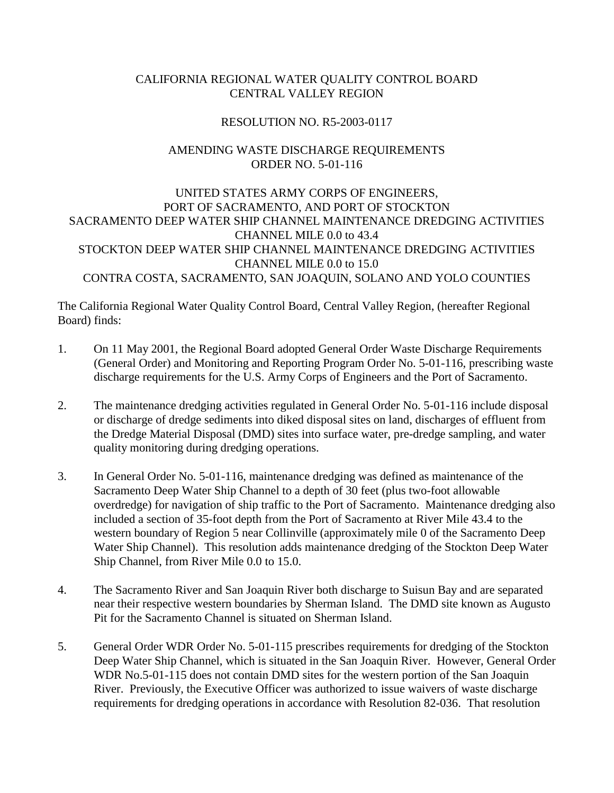## CALIFORNIA REGIONAL WATER QUALITY CONTROL BOARD CENTRAL VALLEY REGION

## RESOLUTION NO. R5-2003-0117

## AMENDING WASTE DISCHARGE REQUIREMENTS ORDER NO. 5-01-116

UNITED STATES ARMY CORPS OF ENGINEERS, PORT OF SACRAMENTO, AND PORT OF STOCKTON SACRAMENTO DEEP WATER SHIP CHANNEL MAINTENANCE DREDGING ACTIVITIES CHANNEL MILE 0.0 to 43.4 STOCKTON DEEP WATER SHIP CHANNEL MAINTENANCE DREDGING ACTIVITIES CHANNEL MILE 0.0 to 15.0 CONTRA COSTA, SACRAMENTO, SAN JOAQUIN, SOLANO AND YOLO COUNTIES

The California Regional Water Quality Control Board, Central Valley Region, (hereafter Regional Board) finds:

- 1. On 11 May 2001, the Regional Board adopted General Order Waste Discharge Requirements (General Order) and Monitoring and Reporting Program Order No. 5-01-116, prescribing waste discharge requirements for the U.S. Army Corps of Engineers and the Port of Sacramento.
- 2. The maintenance dredging activities regulated in General Order No. 5-01-116 include disposal or discharge of dredge sediments into diked disposal sites on land, discharges of effluent from the Dredge Material Disposal (DMD) sites into surface water, pre-dredge sampling, and water quality monitoring during dredging operations.
- 3. In General Order No. 5-01-116, maintenance dredging was defined as maintenance of the Sacramento Deep Water Ship Channel to a depth of 30 feet (plus two-foot allowable overdredge) for navigation of ship traffic to the Port of Sacramento. Maintenance dredging also included a section of 35-foot depth from the Port of Sacramento at River Mile 43.4 to the western boundary of Region 5 near Collinville (approximately mile 0 of the Sacramento Deep Water Ship Channel). This resolution adds maintenance dredging of the Stockton Deep Water Ship Channel, from River Mile 0.0 to 15.0.
- 4. The Sacramento River and San Joaquin River both discharge to Suisun Bay and are separated near their respective western boundaries by Sherman Island. The DMD site known as Augusto Pit for the Sacramento Channel is situated on Sherman Island.
- 5. General Order WDR Order No. 5-01-115 prescribes requirements for dredging of the Stockton Deep Water Ship Channel, which is situated in the San Joaquin River. However, General Order WDR No.5-01-115 does not contain DMD sites for the western portion of the San Joaquin River. Previously, the Executive Officer was authorized to issue waivers of waste discharge requirements for dredging operations in accordance with Resolution 82-036. That resolution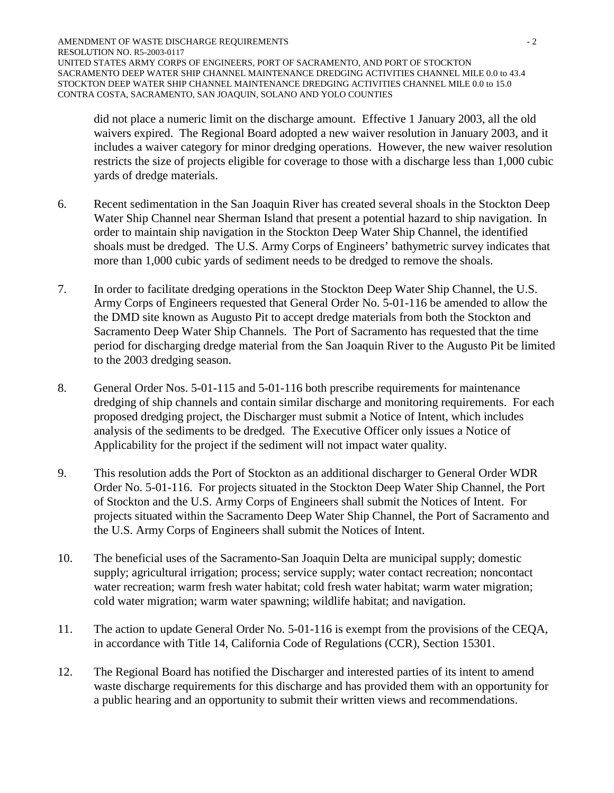did not place a numeric limit on the discharge amount. Effective 1 January 2003, all the old waivers expired. The Regional Board adopted a new waiver resolution in January 2003, and it includes a waiver category for minor dredging operations. However, the new waiver resolution restricts the size of projects eligible for coverage to those with a discharge less than 1,000 cubic yards of dredge materials.

- 6. Recent sedimentation in the San Joaquin River has created several shoals in the Stockton Deep Water Ship Channel near Sherman Island that present a potential hazard to ship navigation. In order to maintain ship navigation in the Stockton Deep Water Ship Channel, the identified shoals must be dredged. The U.S. Army Corps of Engineers' bathymetric survey indicates that more than 1,000 cubic yards of sediment needs to be dredged to remove the shoals.
- 7. In order to facilitate dredging operations in the Stockton Deep Water Ship Channel, the U.S. Army Corps of Engineers requested that General Order No. 5-01-116 be amended to allow the the DMD site known as Augusto Pit to accept dredge materials from both the Stockton and Sacramento Deep Water Ship Channels. The Port of Sacramento has requested that the time period for discharging dredge material from the San Joaquin River to the Augusto Pit be limited to the 2003 dredging season.
- 8. General Order Nos. 5-01-115 and 5-01-116 both prescribe requirements for maintenance dredging of ship channels and contain similar discharge and monitoring requirements. For each proposed dredging project, the Discharger must submit a Notice of Intent, which includes analysis of the sediments to be dredged. The Executive Officer only issues a Notice of Applicability for the project if the sediment will not impact water quality.
- 9. This resolution adds the Port of Stockton as an additional discharger to General Order WDR Order No. 5-01-116. For projects situated in the Stockton Deep Water Ship Channel, the Port of Stockton and the U.S. Army Corps of Engineers shall submit the Notices of Intent. For projects situated within the Sacramento Deep Water Ship Channel, the Port of Sacramento and the U.S. Army Corps of Engineers shall submit the Notices of Intent.
- 10. The beneficial uses of the Sacramento-San Joaquin Delta are municipal supply; domestic supply; agricultural irrigation; process; service supply; water contact recreation; noncontact water recreation; warm fresh water habitat; cold fresh water habitat; warm water migration; cold water migration; warm water spawning; wildlife habitat; and navigation.
- 11. The action to update General Order No. 5-01-116 is exempt from the provisions of the CEQA, in accordance with Title 14, California Code of Regulations (CCR), Section 15301.
- 12. The Regional Board has notified the Discharger and interested parties of its intent to amend waste discharge requirements for this discharge and has provided them with an opportunity for a public hearing and an opportunity to submit their written views and recommendations.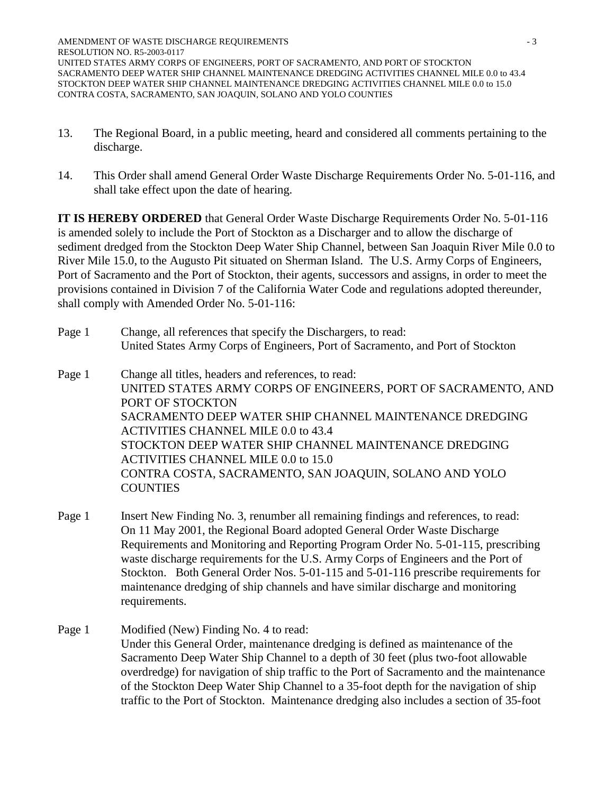- 13. The Regional Board, in a public meeting, heard and considered all comments pertaining to the discharge.
- 14. This Order shall amend General Order Waste Discharge Requirements Order No. 5-01-116, and shall take effect upon the date of hearing.

**IT IS HEREBY ORDERED** that General Order Waste Discharge Requirements Order No. 5-01-116 is amended solely to include the Port of Stockton as a Discharger and to allow the discharge of sediment dredged from the Stockton Deep Water Ship Channel, between San Joaquin River Mile 0.0 to River Mile 15.0, to the Augusto Pit situated on Sherman Island. The U.S. Army Corps of Engineers, Port of Sacramento and the Port of Stockton, their agents, successors and assigns, in order to meet the provisions contained in Division 7 of the California Water Code and regulations adopted thereunder, shall comply with Amended Order No. 5-01-116:

Page 1 Change, all references that specify the Dischargers, to read: United States Army Corps of Engineers, Port of Sacramento, and Port of Stockton

Page 1 Change all titles, headers and references, to read: UNITED STATES ARMY CORPS OF ENGINEERS, PORT OF SACRAMENTO, AND PORT OF STOCKTON SACRAMENTO DEEP WATER SHIP CHANNEL MAINTENANCE DREDGING ACTIVITIES CHANNEL MILE 0.0 to 43.4 STOCKTON DEEP WATER SHIP CHANNEL MAINTENANCE DREDGING ACTIVITIES CHANNEL MILE 0.0 to 15.0 CONTRA COSTA, SACRAMENTO, SAN JOAQUIN, SOLANO AND YOLO COUNTIES

- Page 1 Insert New Finding No. 3, renumber all remaining findings and references, to read: On 11 May 2001, the Regional Board adopted General Order Waste Discharge Requirements and Monitoring and Reporting Program Order No. 5-01-115, prescribing waste discharge requirements for the U.S. Army Corps of Engineers and the Port of Stockton. Both General Order Nos. 5-01-115 and 5-01-116 prescribe requirements for maintenance dredging of ship channels and have similar discharge and monitoring requirements.
- Page 1 Modified (New) Finding No. 4 to read: Under this General Order, maintenance dredging is defined as maintenance of the Sacramento Deep Water Ship Channel to a depth of 30 feet (plus two-foot allowable overdredge) for navigation of ship traffic to the Port of Sacramento and the maintenance of the Stockton Deep Water Ship Channel to a 35-foot depth for the navigation of ship traffic to the Port of Stockton. Maintenance dredging also includes a section of 35-foot